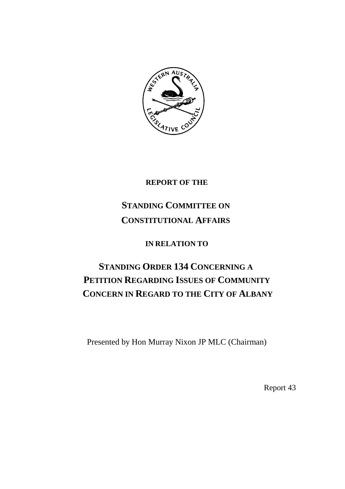

**REPORT OF THE**

# **STANDING COMMITTEE ON CONSTITUTIONAL AFFAIRS**

**IN RELATION TO**

## **STANDING ORDER 134 CONCERNING A PETITION REGARDING ISSUES OF COMMUNITY CONCERN IN REGARD TO THE CITY OF ALBANY**

Presented by Hon Murray Nixon JP MLC (Chairman)

Report 43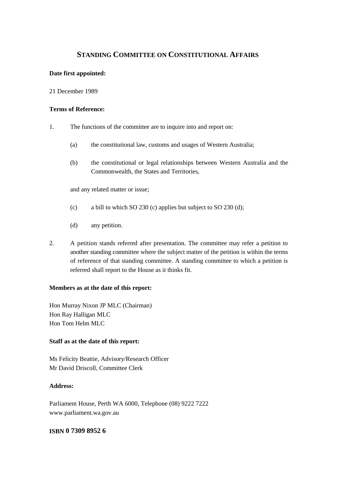## **STANDING COMMITTEE ON CONSTITUTIONAL AFFAIRS**

#### **Date first appointed:**

#### 21 December 1989

#### **Terms of Reference:**

- 1. The functions of the committee are to inquire into and report on:
	- (a) the constitutional law, customs and usages of Western Australia;
	- (b) the constitutional or legal relationships between Western Australia and the Commonwealth, the States and Territories,

and any related matter or issue;

- (c) a bill to which SO 230 (c) applies but subject to SO 230 (d);
- (d) any petition.
- 2. A petition stands referred after presentation. The committee may refer a petition to another standing committee where the subject matter of the petition is within the terms of reference of that standing committee. A standing committee to which a petition is referred shall report to the House as it thinks fit.

#### **Members as at the date of this report:**

Hon Murray Nixon JP MLC (Chairman) Hon Ray Halligan MLC Hon Tom Helm MLC

#### **Staff as at the date of this report:**

Ms Felicity Beattie, Advisory/Research Officer Mr David Driscoll, Committee Clerk

### **Address:**

Parliament House, Perth WA 6000, Telephone (08) 9222 7222 www.parliament.wa.gov.au

## **ISBN 0 7309 8952 6**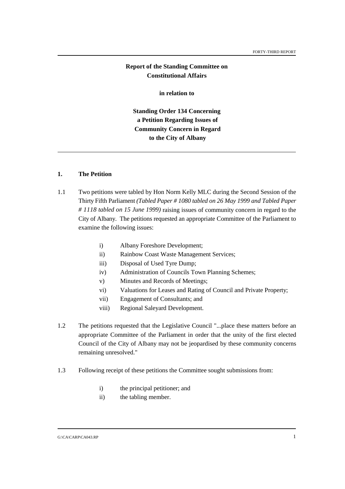## **Report of the Standing Committee on Constitutional Affairs**

**in relation to**

**Standing Order 134 Concerning a Petition Regarding Issues of Community Concern in Regard to the City of Albany**

#### **1. The Petition**

- 1.1 Two petitions were tabled by Hon Norm Kelly MLC during the Second Session of the Thirty Fifth Parliament *(Tabled Paper # 1080 tabled on 26 May 1999 and Tabled Paper # 1118 tabled on 15 June 1999)* raising issues of community concern in regard to the City of Albany. The petitions requested an appropriate Committee of the Parliament to examine the following issues:
	- i) Albany Foreshore Development;
	- ii) Rainbow Coast Waste Management Services;
	- iii) Disposal of Used Tyre Dump;
	- iv) Administration of Councils Town Planning Schemes;
	- v) Minutes and Records of Meetings;
	- vi) Valuations for Leases and Rating of Council and Private Property;
	- vii) Engagement of Consultants; and
	- viii) Regional Saleyard Development.
- 1.2 The petitions requested that the Legislative Council "...place these matters before an appropriate Committee of the Parliament in order that the unity of the first elected Council of the City of Albany may not be jeopardised by these community concerns remaining unresolved."
- 1.3 Following receipt of these petitions the Committee sought submissions from:
	- i) the principal petitioner; and
	- ii) the tabling member.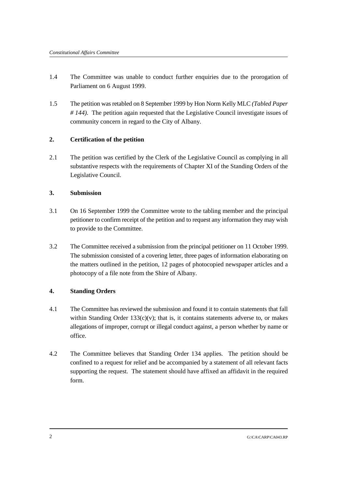- 1.4 The Committee was unable to conduct further enquiries due to the prorogation of Parliament on 6 August 1999.
- 1.5 The petition was retabled on 8 September 1999 by Hon Norm Kelly MLC *(Tabled Paper # 144)*. The petition again requested that the Legislative Council investigate issues of community concern in regard to the City of Albany.

## **2. Certification of the petition**

2.1 The petition was certified by the Clerk of the Legislative Council as complying in all substantive respects with the requirements of Chapter XI of the Standing Orders of the Legislative Council.

## **3. Submission**

- 3.1 On 16 September 1999 the Committee wrote to the tabling member and the principal petitioner to confirm receipt of the petition and to request any information they may wish to provide to the Committee.
- 3.2 The Committee received a submission from the principal petitioner on 11 October 1999. The submission consisted of a covering letter, three pages of information elaborating on the matters outlined in the petition, 12 pages of photocopied newspaper articles and a photocopy of a file note from the Shire of Albany.

## **4. Standing Orders**

- 4.1 The Committee has reviewed the submission and found it to contain statements that fall within Standing Order  $133(c)(v)$ ; that is, it contains statements adverse to, or makes allegations of improper, corrupt or illegal conduct against, a person whether by name or office.
- 4.2 The Committee believes that Standing Order 134 applies. The petition should be confined to a request for relief and be accompanied by a statement of all relevant facts supporting the request. The statement should have affixed an affidavit in the required form.